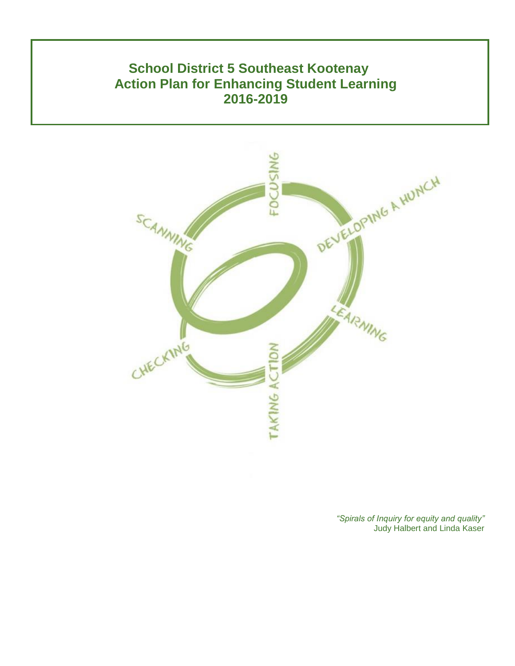# **School District 5 Southeast Kootenay Action Plan for Enhancing Student Learning 2016-2019**



*"Spirals of Inquiry for equity and quality"* Judy Halbert and Linda Kaser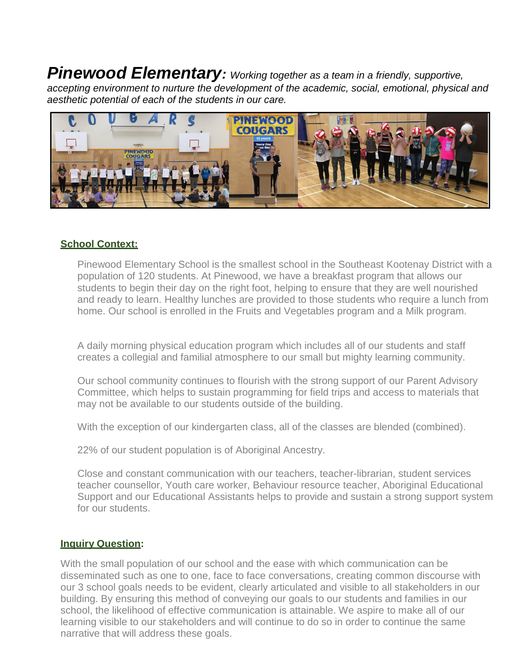*Pinewood Elementary: Working together as a team in a friendly, supportive, accepting environment to nurture the development of the academic, social, emotional, physical and aesthetic potential of each of the students in our care.*



### **School Context:**

Pinewood Elementary School is the smallest school in the Southeast Kootenay District with a population of 120 students. At Pinewood, we have a breakfast program that allows our students to begin their day on the right foot, helping to ensure that they are well nourished and ready to learn. Healthy lunches are provided to those students who require a lunch from home. Our school is enrolled in the Fruits and Vegetables program and a Milk program.

A daily morning physical education program which includes all of our students and staff creates a collegial and familial atmosphere to our small but mighty learning community.

Our school community continues to flourish with the strong support of our Parent Advisory Committee, which helps to sustain programming for field trips and access to materials that may not be available to our students outside of the building.

With the exception of our kindergarten class, all of the classes are blended (combined).

22% of our student population is of Aboriginal Ancestry.

Close and constant communication with our teachers, teacher-librarian, student services teacher counsellor, Youth care worker, Behaviour resource teacher, Aboriginal Educational Support and our Educational Assistants helps to provide and sustain a strong support system for our students.

### **Inquiry Question:**

With the small population of our school and the ease with which communication can be disseminated such as one to one, face to face conversations, creating common discourse with our 3 school goals needs to be evident, clearly articulated and visible to all stakeholders in our building. By ensuring this method of conveying our goals to our students and families in our school, the likelihood of effective communication is attainable. We aspire to make all of our learning visible to our stakeholders and will continue to do so in order to continue the same narrative that will address these goals.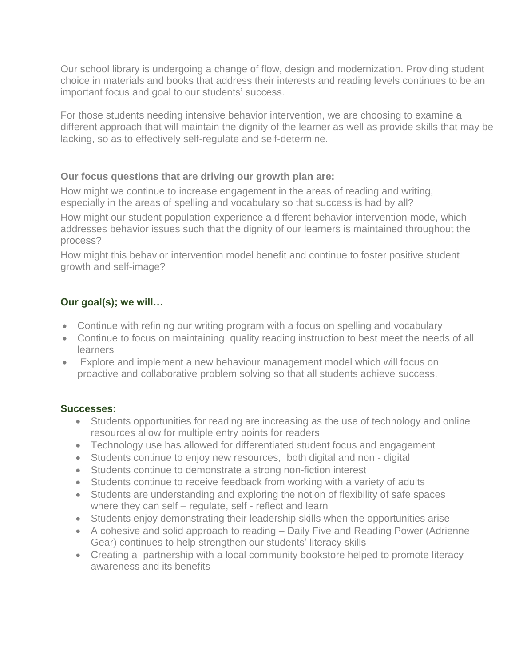Our school library is undergoing a change of flow, design and modernization. Providing student choice in materials and books that address their interests and reading levels continues to be an important focus and goal to our students' success.

For those students needing intensive behavior intervention, we are choosing to examine a different approach that will maintain the dignity of the learner as well as provide skills that may be lacking, so as to effectively self-regulate and self-determine.

### **Our focus questions that are driving our growth plan are:**

How might we continue to increase engagement in the areas of reading and writing, especially in the areas of spelling and vocabulary so that success is had by all?

How might our student population experience a different behavior intervention mode, which addresses behavior issues such that the dignity of our learners is maintained throughout the process?

How might this behavior intervention model benefit and continue to foster positive student growth and self-image?

# **Our goal(s); we will…**

- Continue with refining our writing program with a focus on spelling and vocabulary
- Continue to focus on maintaining quality reading instruction to best meet the needs of all **learners**
- Explore and implement a new behaviour management model which will focus on proactive and collaborative problem solving so that all students achieve success.

### **Successes:**

- Students opportunities for reading are increasing as the use of technology and online resources allow for multiple entry points for readers
- Technology use has allowed for differentiated student focus and engagement
- Students continue to enjoy new resources, both digital and non digital
- Students continue to demonstrate a strong non-fiction interest
- Students continue to receive feedback from working with a variety of adults
- Students are understanding and exploring the notion of flexibility of safe spaces where they can self – regulate, self - reflect and learn
- Students enjoy demonstrating their leadership skills when the opportunities arise
- A cohesive and solid approach to reading Daily Five and Reading Power (Adrienne Gear) continues to help strengthen our students' literacy skills
- Creating a partnership with a local community bookstore helped to promote literacy awareness and its benefits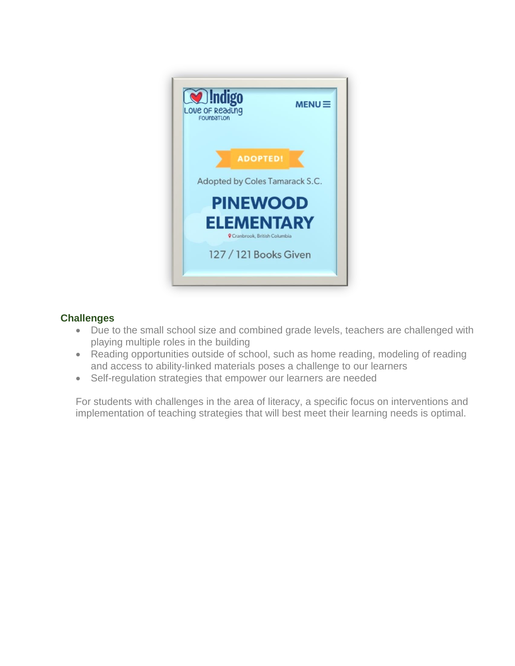

# **Challenges**

- Due to the small school size and combined grade levels, teachers are challenged with playing multiple roles in the building
- Reading opportunities outside of school, such as home reading, modeling of reading and access to ability-linked materials poses a challenge to our learners
- Self-regulation strategies that empower our learners are needed

For students with challenges in the area of literacy, a specific focus on interventions and implementation of teaching strategies that will best meet their learning needs is optimal.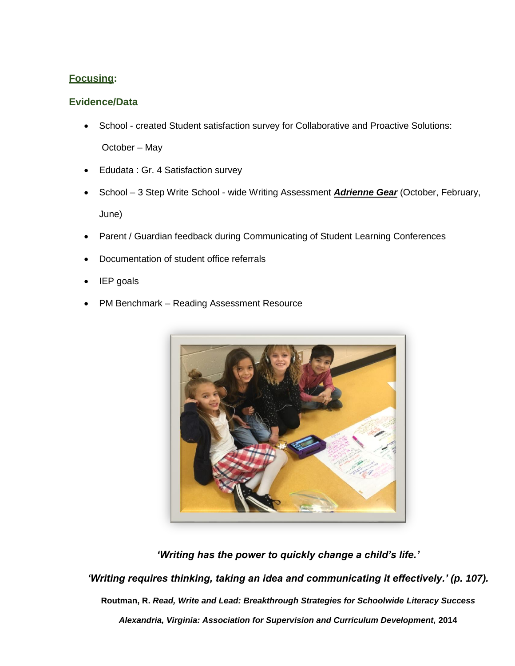# **Focusing:**

# **Evidence/Data**

- School created Student satisfaction survey for Collaborative and Proactive Solutions: October – May
- Edudata : Gr. 4 Satisfaction survey
- School 3 Step Write School wide Writing Assessment *Adrienne Gear* (October, February, June)
- Parent / Guardian feedback during Communicating of Student Learning Conferences
- Documentation of student office referrals
- IEP goals
- PM Benchmark Reading Assessment Resource



*'Writing has the power to quickly change a child's life.'*

*'Writing requires thinking, taking an idea and communicating it effectively.' (p. 107).*

**Routman, R.** *Read, Write and Lead: Breakthrough Strategies for Schoolwide Literacy Success* 

*Alexandria, Virginia: Association for Supervision and Curriculum Development,* **2014**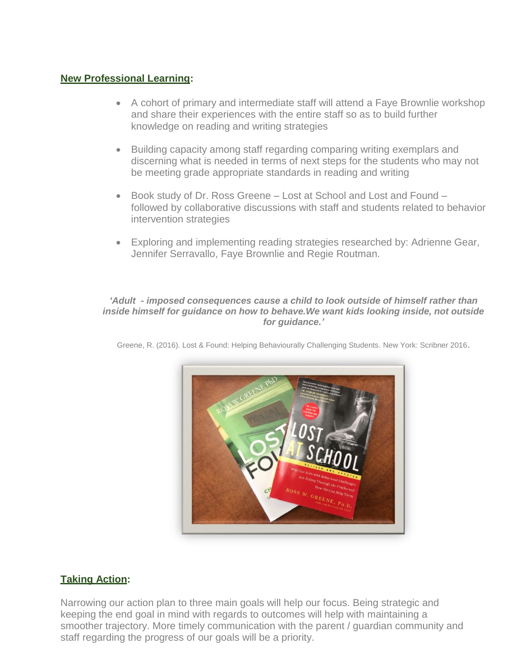## **New Professional Learning:**

- A cohort of primary and intermediate staff will attend a Faye Brownlie workshop and share their experiences with the entire staff so as to build further knowledge on reading and writing strategies
- Building capacity among staff regarding comparing writing exemplars and discerning what is needed in terms of next steps for the students who may not be meeting grade appropriate standards in reading and writing
- Book study of Dr. Ross Greene Lost at School and Lost and Found followed by collaborative discussions with staff and students related to behavior intervention strategies
- Exploring and implementing reading strategies researched by: Adrienne Gear, Jennifer Serravallo, Faye Brownlie and Regie Routman.

#### *'Adult - imposed consequences cause a child to look outside of himself rather than inside himself for guidance on how to behave.We want kids looking inside, not outside for guidance.'*



Greene, R. (2016). Lost & Found: Helping Behaviourally Challenging Students. New York: Scribner 2016.

# **Taking Action:**

Narrowing our action plan to three main goals will help our focus. Being strategic and keeping the end goal in mind with regards to outcomes will help with maintaining a smoother trajectory. More timely communication with the parent / guardian community and staff regarding the progress of our goals will be a priority.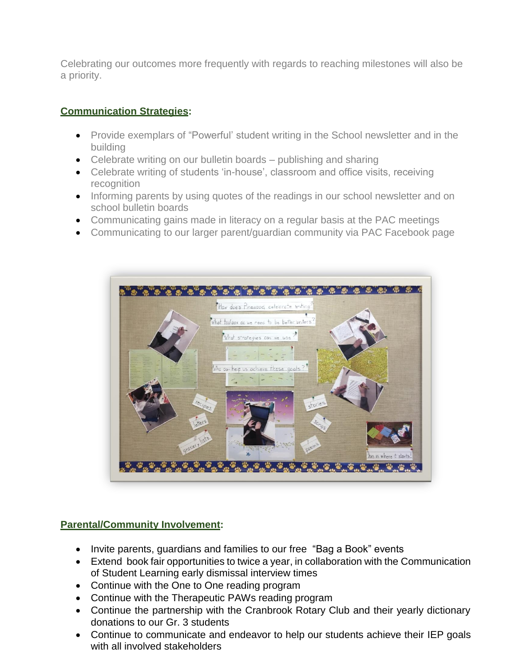Celebrating our outcomes more frequently with regards to reaching milestones will also be a priority.

# **Communication Strategies:**

- Provide exemplars of "Powerful' student writing in the School newsletter and in the building
- Celebrate writing on our bulletin boards publishing and sharing
- Celebrate writing of students 'in-house', classroom and office visits, receiving recognition
- Informing parents by using quotes of the readings in our school newsletter and on school bulletin boards
- Communicating gains made in literacy on a regular basis at the PAC meetings
- Communicating to our larger parent/guardian community via PAC Facebook page



### **Parental/Community Involvement:**

- Invite parents, guardians and families to our free "Bag a Book" events
- Extend book fair opportunities to twice a year, in collaboration with the Communication of Student Learning early dismissal interview times
- Continue with the One to One reading program
- Continue with the Therapeutic PAWs reading program
- Continue the partnership with the Cranbrook Rotary Club and their yearly dictionary donations to our Gr. 3 students
- Continue to communicate and endeavor to help our students achieve their IEP goals with all involved stakeholders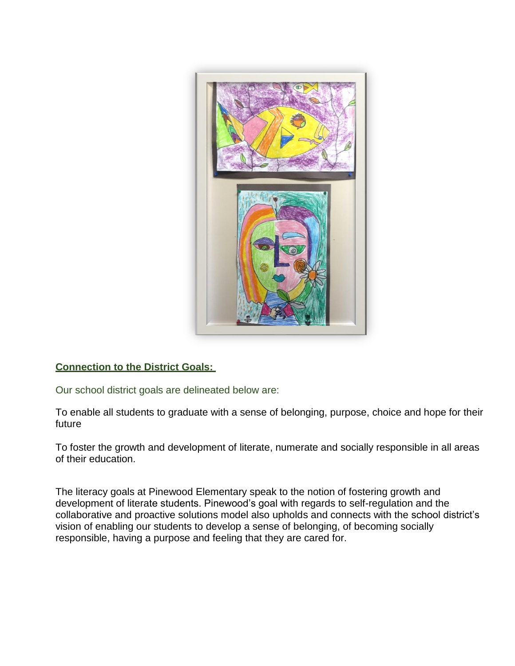

### **Connection to the District Goals:**

Our school district goals are delineated below are:

To enable all students to graduate with a sense of belonging, purpose, choice and hope for their future

To foster the growth and development of literate, numerate and socially responsible in all areas of their education.

The literacy goals at Pinewood Elementary speak to the notion of fostering growth and development of literate students. Pinewood's goal with regards to self-regulation and the collaborative and proactive solutions model also upholds and connects with the school district's vision of enabling our students to develop a sense of belonging, of becoming socially responsible, having a purpose and feeling that they are cared for.